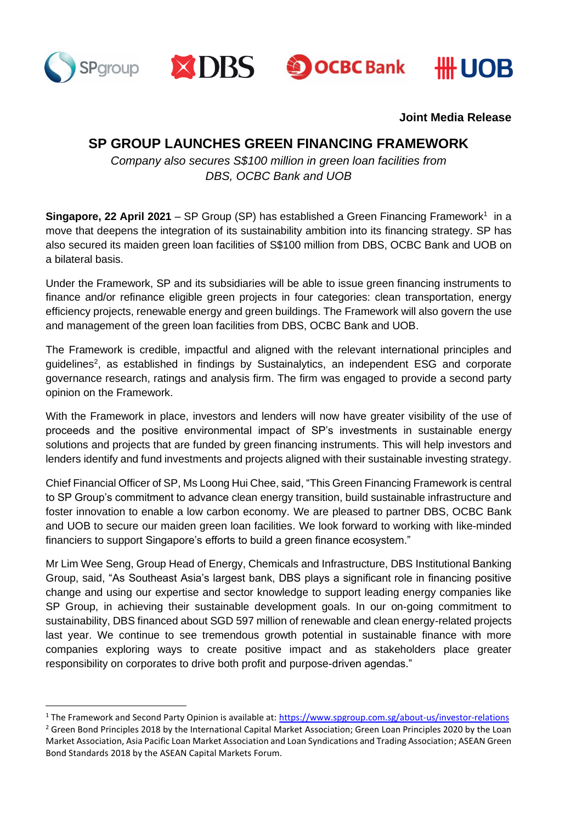







**Joint Media Release**

# **SP GROUP LAUNCHES GREEN FINANCING FRAMEWORK**

*Company also secures S\$100 million in green loan facilities from DBS, OCBC Bank and UOB*

Singapore, 22 April 2021 - SP Group (SP) has established a Green Financing Framework<sup>1</sup> in a move that deepens the integration of its sustainability ambition into its financing strategy. SP has also secured its maiden green loan facilities of S\$100 million from DBS, OCBC Bank and UOB on a bilateral basis.

Under the Framework, SP and its subsidiaries will be able to issue green financing instruments to finance and/or refinance eligible green projects in four categories: clean transportation, energy efficiency projects, renewable energy and green buildings. The Framework will also govern the use and management of the green loan facilities from DBS, OCBC Bank and UOB.

The Framework is credible, impactful and aligned with the relevant international principles and guidelines<sup>2</sup>, as established in findings by Sustainalytics, an independent ESG and corporate governance research, ratings and analysis firm. The firm was engaged to provide a second party opinion on the Framework.

With the Framework in place, investors and lenders will now have greater visibility of the use of proceeds and the positive environmental impact of SP's investments in sustainable energy solutions and projects that are funded by green financing instruments. This will help investors and lenders identify and fund investments and projects aligned with their sustainable investing strategy.

Chief Financial Officer of SP, Ms Loong Hui Chee, said, "This Green Financing Framework is central to SP Group's commitment to advance clean energy transition, build sustainable infrastructure and foster innovation to enable a low carbon economy. We are pleased to partner DBS, OCBC Bank and UOB to secure our maiden green loan facilities. We look forward to working with like-minded financiers to support Singapore's efforts to build a green finance ecosystem."

Mr Lim Wee Seng, Group Head of Energy, Chemicals and Infrastructure, DBS Institutional Banking Group, said, "As Southeast Asia's largest bank, DBS plays a significant role in financing positive change and using our expertise and sector knowledge to support leading energy companies like SP Group, in achieving their sustainable development goals. In our on-going commitment to sustainability, DBS financed about SGD 597 million of renewable and clean energy-related projects last year. We continue to see tremendous growth potential in sustainable finance with more companies exploring ways to create positive impact and as stakeholders place greater responsibility on corporates to drive both profit and purpose-driven agendas."

<sup>&</sup>lt;sup>1</sup> The Framework and Second Party Opinion is available at[: https://www.spgroup.com.sg/about-us/investor-relations](https://www.spgroup.com.sg/about-us/investor-relations)

 $2$  Green Bond Principles 2018 by the International Capital Market Association; Green Loan Principles 2020 by the Loan Market Association, Asia Pacific Loan Market Association and Loan Syndications and Trading Association; ASEAN Green Bond Standards 2018 by the ASEAN Capital Markets Forum.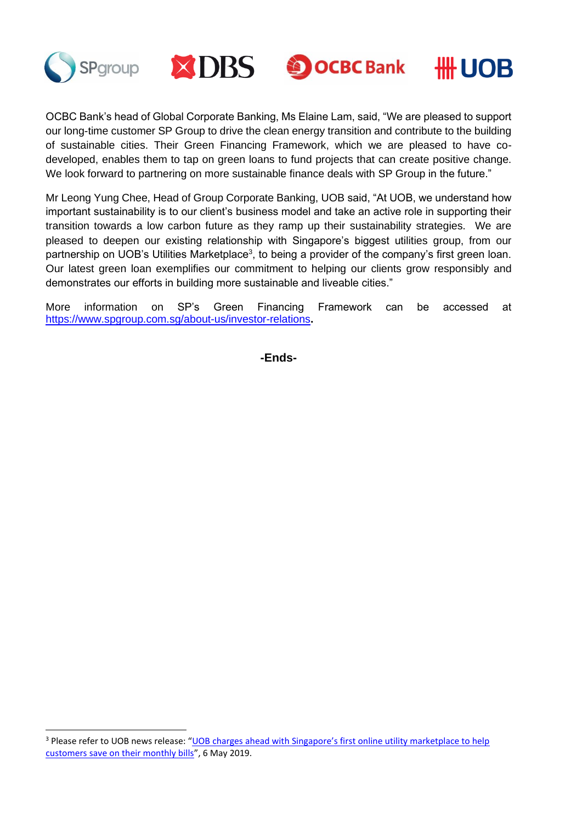

OCBC Bank's head of Global Corporate Banking, Ms Elaine Lam, said, "We are pleased to support our long-time customer SP Group to drive the clean energy transition and contribute to the building of sustainable cities. Their Green Financing Framework, which we are pleased to have codeveloped, enables them to tap on green loans to fund projects that can create positive change. We look forward to partnering on more sustainable finance deals with SP Group in the future."

Mr Leong Yung Chee, Head of Group Corporate Banking, UOB said, "At UOB, we understand how important sustainability is to our client's business model and take an active role in supporting their transition towards a low carbon future as they ramp up their sustainability strategies. We are pleased to deepen our existing relationship with Singapore's biggest utilities group, from our partnership on UOB's Utilities Marketplace<sup>3</sup>, to being a provider of the company's first green loan. Our latest green loan exemplifies our commitment to helping our clients grow responsibly and demonstrates our efforts in building more sustainable and liveable cities."

More information on SP's Green Financing Framework can be accessed at <https://www.spgroup.com.sg/about-us/investor-relations>**.**

**-Ends-**

<sup>&</sup>lt;sup>3</sup> Please refer to UOB news release: "UOB charges ahead with Singapore's first online utility marketplace to help [customers save on their monthly bills](https://www.uobgroup.com/web-resources/uobgroup/pdf/newsroom/2019/UOB-online-utility-marketplace.pdf)", 6 May 2019.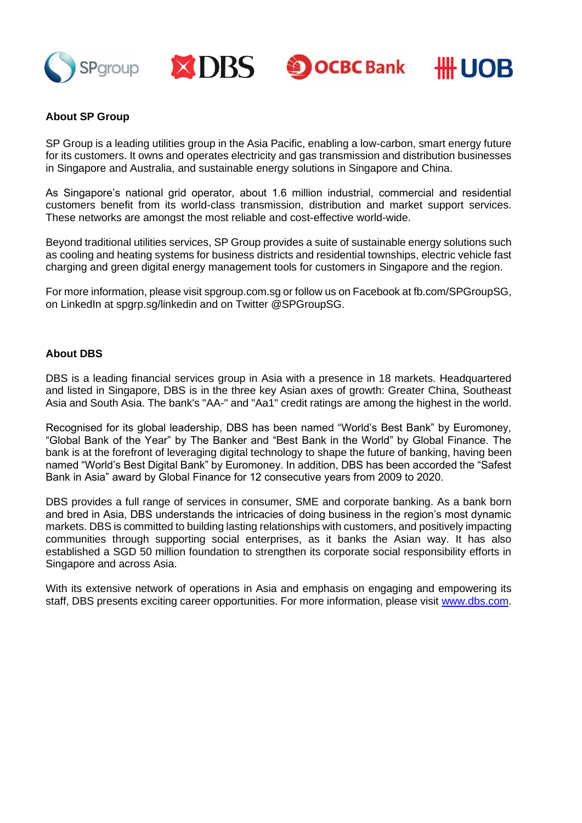





## **About SP Group**

SP Group is a leading utilities group in the Asia Pacific, enabling a low-carbon, smart energy future for its customers. It owns and operates electricity and gas transmission and distribution businesses in Singapore and Australia, and sustainable energy solutions in Singapore and China.

As Singapore's national grid operator, about 1.6 million industrial, commercial and residential customers benefit from its world-class transmission, distribution and market support services. These networks are amongst the most reliable and cost-effective world-wide.

Beyond traditional utilities services, SP Group provides a suite of sustainable energy solutions such as cooling and heating systems for business districts and residential townships, electric vehicle fast charging and green digital energy management tools for customers in Singapore and the region.

For more information, please visit spgroup.com.sg or follow us on Facebook at fb.com/SPGroupSG, on LinkedIn at spgrp.sg/linkedin and on Twitter @SPGroupSG.

#### **About DBS**

DBS is a leading financial services group in Asia with a presence in 18 markets. Headquartered and listed in Singapore, DBS is in the three key Asian axes of growth: Greater China, Southeast Asia and South Asia. The bank's "AA-" and "Aa1" credit ratings are among the highest in the world.

Recognised for its global leadership, DBS has been named "World's Best Bank" by Euromoney, "Global Bank of the Year" by The Banker and "Best Bank in the World" by Global Finance. The bank is at the forefront of leveraging digital technology to shape the future of banking, having been named "World's Best Digital Bank" by Euromoney. In addition, DBS has been accorded the "Safest Bank in Asia" award by Global Finance for 12 consecutive years from 2009 to 2020.

DBS provides a full range of services in consumer, SME and corporate banking. As a bank born and bred in Asia, DBS understands the intricacies of doing business in the region's most dynamic markets. DBS is committed to building lasting relationships with customers, and positively impacting communities through supporting social enterprises, as it banks the Asian way. It has also established a SGD 50 million foundation to strengthen its corporate social responsibility efforts in Singapore and across Asia.

With its extensive network of operations in Asia and emphasis on engaging and empowering its staff, DBS presents exciting career opportunities. For more information, please visit [www.dbs.com.](http://www.dbs.com/)